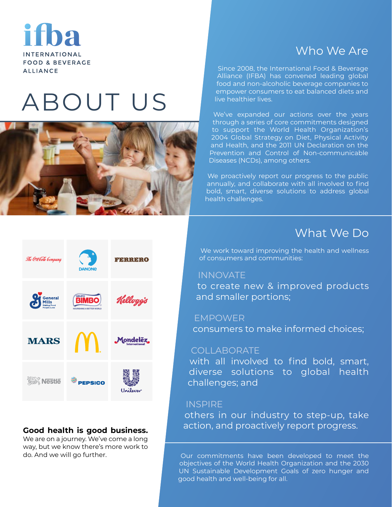**INTERNATIONAL FOOD & BEVERAGE ALLIANCE** 

# ABOUT US



# Who We Are

Since 2008, the International Food & Beverage Alliance (IFBA) has convened leading global food and non-alcoholic beverage companies to empower consumers to eat balanced diets and live healthier lives.

We've expanded our actions over the years through a series of core commitments designed to support the World Health Organization's 2004 Global Strategy on Diet, Physical Activity and Health, and the 2011 UN Declaration on the Prevention and Control of Non-communicable Diseases (NCDs), among others.

We proactively report our progress to the public annually, and collaborate with all involved to find bold, smart, diverse solutions to address global health challenges.

# What We Do

We work toward improving the health and wellness of consumers and communities:

# INNOVATE

to create new & improved products and smaller portions;

# EMPOWER

consumers to make informed choices;

# COLLABORATE

with all involved to find bold, smart, diverse solutions to global health challenges; and

# **INSPIRE**

others in our industry to step-up, take action, and proactively report progress.

Our commitments have been developed to meet the objectives of the World Health Organization and the 2030 UN Sustainable Development Goals of zero hunger and good health and well-being for all.



# **Good health is good business.**

We are on a journey. We've come a long way, but we know there's more work to do. And we will go further.